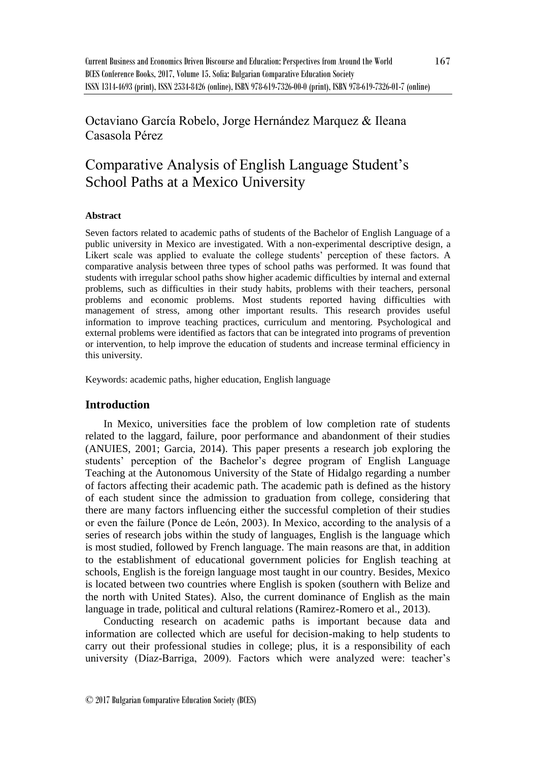## Octaviano García Robelo, Jorge Hernández Marquez & Ileana Casasola Pérez

# Comparative Analysis of English Language Student's School Paths at a Mexico University

#### **Abstract**

Seven factors related to academic paths of students of the Bachelor of English Language of a public university in Mexico are investigated. With a non-experimental descriptive design, a Likert scale was applied to evaluate the college students' perception of these factors. A comparative analysis between three types of school paths was performed. It was found that students with irregular school paths show higher academic difficulties by internal and external problems, such as difficulties in their study habits, problems with their teachers, personal problems and economic problems. Most students reported having difficulties with management of stress, among other important results. This research provides useful information to improve teaching practices, curriculum and mentoring. Psychological and external problems were identified as factors that can be integrated into programs of prevention or intervention, to help improve the education of students and increase terminal efficiency in this university.

Keywords: academic paths, higher education, English language

## **Introduction**

In Mexico, universities face the problem of low completion rate of students related to the laggard, failure, poor performance and abandonment of their studies (ANUIES, 2001; Garcia, 2014). This paper presents a research job exploring the students' perception of the Bachelor's degree program of English Language Teaching at the Autonomous University of the State of Hidalgo regarding a number of factors affecting their academic path. The academic path is defined as the history of each student since the admission to graduation from college, considering that there are many factors influencing either the successful completion of their studies or even the failure (Ponce de León, 2003). In Mexico, according to the analysis of a series of research jobs within the study of languages, English is the language which is most studied, followed by French language. The main reasons are that, in addition to the establishment of educational government policies for English teaching at schools, English is the foreign language most taught in our country. Besides, Mexico is located between two countries where English is spoken (southern with Belize and the north with United States). Also, the current dominance of English as the main language in trade, political and cultural relations (Ramirez-Romero et al., 2013).

Conducting research on academic paths is important because data and information are collected which are useful for decision-making to help students to carry out their professional studies in college; plus, it is a responsibility of each university (Díaz-Barriga, 2009). Factors which were analyzed were: teacher's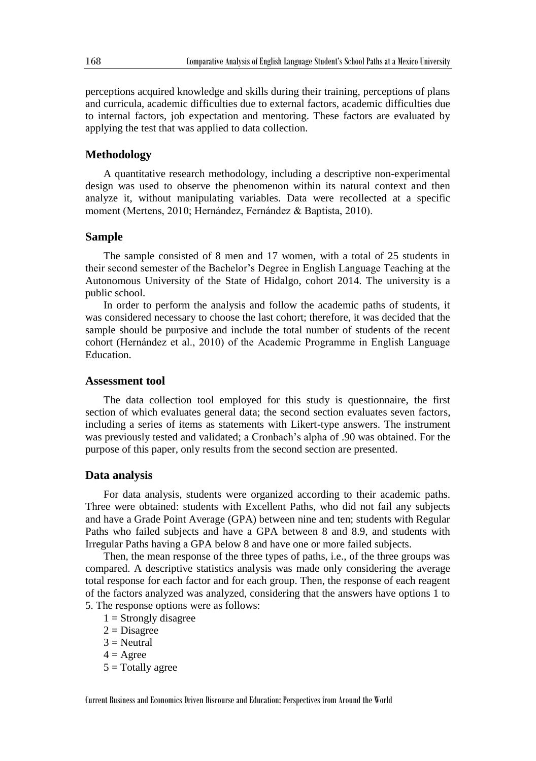perceptions acquired knowledge and skills during their training, perceptions of plans and curricula, academic difficulties due to external factors, academic difficulties due to internal factors, job expectation and mentoring. These factors are evaluated by applying the test that was applied to data collection.

### **Methodology**

A quantitative research methodology, including a descriptive non-experimental design was used to observe the phenomenon within its natural context and then analyze it, without manipulating variables. Data were recollected at a specific moment (Mertens, 2010; Hernández, Fernández & Baptista, 2010).

#### **Sample**

The sample consisted of 8 men and 17 women, with a total of 25 students in their second semester of the Bachelor's Degree in English Language Teaching at the Autonomous University of the State of Hidalgo, cohort 2014. The university is a public school.

In order to perform the analysis and follow the academic paths of students, it was considered necessary to choose the last cohort; therefore, it was decided that the sample should be purposive and include the total number of students of the recent cohort (Hernández et al., 2010) of the Academic Programme in English Language Education.

#### **Assessment tool**

The data collection tool employed for this study is questionnaire, the first section of which evaluates general data; the second section evaluates seven factors, including a series of items as statements with Likert-type answers. The instrument was previously tested and validated; a Cronbach's alpha of .90 was obtained. For the purpose of this paper, only results from the second section are presented.

#### **Data analysis**

For data analysis, students were organized according to their academic paths. Three were obtained: students with Excellent Paths, who did not fail any subjects and have a Grade Point Average (GPA) between nine and ten; students with Regular Paths who failed subjects and have a GPA between 8 and 8.9, and students with Irregular Paths having a GPA below 8 and have one or more failed subjects.

Then, the mean response of the three types of paths, i.e., of the three groups was compared. A descriptive statistics analysis was made only considering the average total response for each factor and for each group. Then, the response of each reagent of the factors analyzed was analyzed, considering that the answers have options 1 to 5. The response options were as follows:

- $1 =$  Strongly disagree
- $2$  = Disagree
- $3$  = Neutral
- $4 = \text{Agree}$
- $5 = \text{Totally agree}$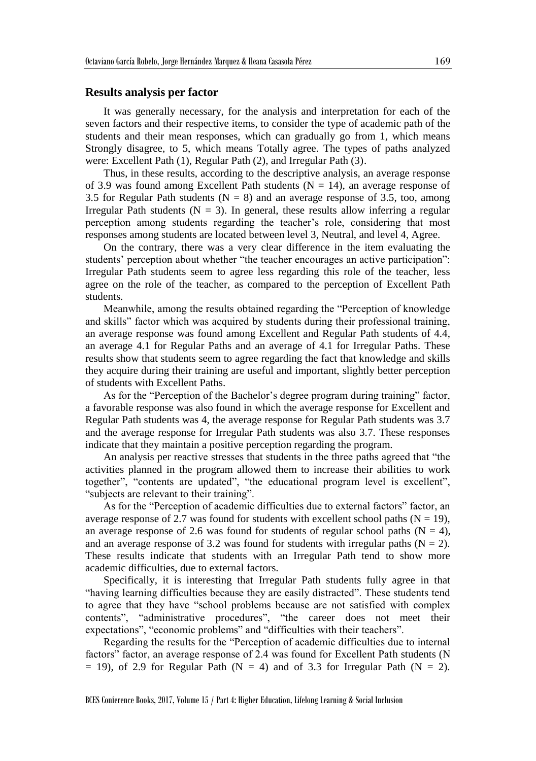#### **Results analysis per factor**

It was generally necessary, for the analysis and interpretation for each of the seven factors and their respective items, to consider the type of academic path of the students and their mean responses, which can gradually go from 1, which means Strongly disagree, to 5, which means Totally agree. The types of paths analyzed were: Excellent Path (1), Regular Path (2), and Irregular Path (3).

Thus, in these results, according to the descriptive analysis, an average response of 3.9 was found among Excellent Path students ( $N = 14$ ), an average response of 3.5 for Regular Path students ( $N = 8$ ) and an average response of 3.5, too, among Irregular Path students ( $N = 3$ ). In general, these results allow inferring a regular perception among students regarding the teacher's role, considering that most responses among students are located between level 3, Neutral, and level 4, Agree.

On the contrary, there was a very clear difference in the item evaluating the students' perception about whether "the teacher encourages an active participation": Irregular Path students seem to agree less regarding this role of the teacher, less agree on the role of the teacher, as compared to the perception of Excellent Path students.

Meanwhile, among the results obtained regarding the "Perception of knowledge and skills" factor which was acquired by students during their professional training, an average response was found among Excellent and Regular Path students of 4.4, an average 4.1 for Regular Paths and an average of 4.1 for Irregular Paths. These results show that students seem to agree regarding the fact that knowledge and skills they acquire during their training are useful and important, slightly better perception of students with Excellent Paths.

As for the "Perception of the Bachelor's degree program during training" factor, a favorable response was also found in which the average response for Excellent and Regular Path students was 4, the average response for Regular Path students was 3.7 and the average response for Irregular Path students was also 3.7. These responses indicate that they maintain a positive perception regarding the program.

An analysis per reactive stresses that students in the three paths agreed that "the activities planned in the program allowed them to increase their abilities to work together", "contents are updated", "the educational program level is excellent", "subjects are relevant to their training".

As for the "Perception of academic difficulties due to external factors" factor, an average response of 2.7 was found for students with excellent school paths ( $N = 19$ ), an average response of 2.6 was found for students of regular school paths ( $N = 4$ ), and an average response of 3.2 was found for students with irregular paths  $(N = 2)$ . These results indicate that students with an Irregular Path tend to show more academic difficulties, due to external factors.

Specifically, it is interesting that Irregular Path students fully agree in that "having learning difficulties because they are easily distracted". These students tend to agree that they have "school problems because are not satisfied with complex contents", "administrative procedures", "the career does not meet their expectations", "economic problems" and "difficulties with their teachers".

Regarding the results for the "Perception of academic difficulties due to internal factors" factor, an average response of 2.4 was found for Excellent Path students (N  $= 19$ ), of 2.9 for Regular Path (N = 4) and of 3.3 for Irregular Path (N = 2).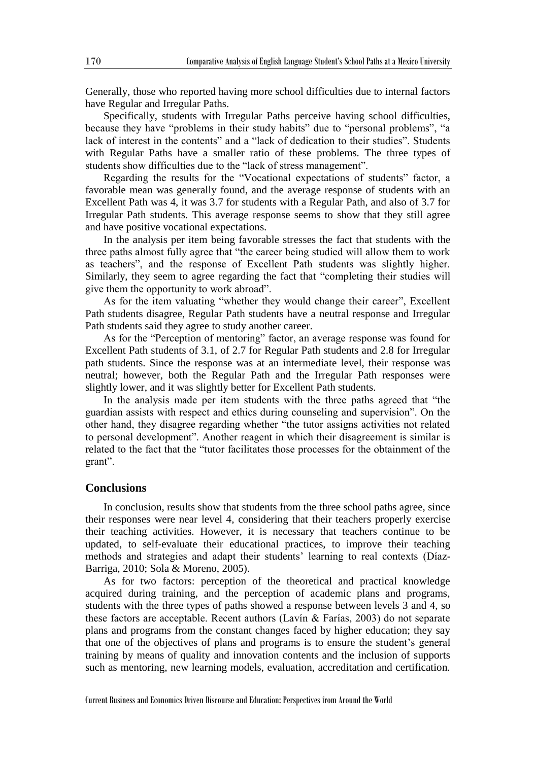Generally, those who reported having more school difficulties due to internal factors have Regular and Irregular Paths.

Specifically, students with Irregular Paths perceive having school difficulties, because they have "problems in their study habits" due to "personal problems", "a lack of interest in the contents" and a "lack of dedication to their studies". Students with Regular Paths have a smaller ratio of these problems. The three types of students show difficulties due to the "lack of stress management".

Regarding the results for the "Vocational expectations of students" factor, a favorable mean was generally found, and the average response of students with an Excellent Path was 4, it was 3.7 for students with a Regular Path, and also of 3.7 for Irregular Path students. This average response seems to show that they still agree and have positive vocational expectations.

In the analysis per item being favorable stresses the fact that students with the three paths almost fully agree that "the career being studied will allow them to work as teachers", and the response of Excellent Path students was slightly higher. Similarly, they seem to agree regarding the fact that "completing their studies will give them the opportunity to work abroad".

As for the item valuating "whether they would change their career", Excellent Path students disagree, Regular Path students have a neutral response and Irregular Path students said they agree to study another career.

As for the "Perception of mentoring" factor, an average response was found for Excellent Path students of 3.1, of 2.7 for Regular Path students and 2.8 for Irregular path students. Since the response was at an intermediate level, their response was neutral; however, both the Regular Path and the Irregular Path responses were slightly lower, and it was slightly better for Excellent Path students.

In the analysis made per item students with the three paths agreed that "the guardian assists with respect and ethics during counseling and supervision". On the other hand, they disagree regarding whether "the tutor assigns activities not related to personal development". Another reagent in which their disagreement is similar is related to the fact that the "tutor facilitates those processes for the obtainment of the grant".

## **Conclusions**

In conclusion, results show that students from the three school paths agree, since their responses were near level 4, considering that their teachers properly exercise their teaching activities. However, it is necessary that teachers continue to be updated, to self-evaluate their educational practices, to improve their teaching methods and strategies and adapt their students' learning to real contexts (Díaz-Barriga, 2010; Sola & Moreno, 2005).

As for two factors: perception of the theoretical and practical knowledge acquired during training, and the perception of academic plans and programs, students with the three types of paths showed a response between levels 3 and 4, so these factors are acceptable. Recent authors (Lavín & Farías, 2003) do not separate plans and programs from the constant changes faced by higher education; they say that one of the objectives of plans and programs is to ensure the student's general training by means of quality and innovation contents and the inclusion of supports such as mentoring, new learning models, evaluation, accreditation and certification.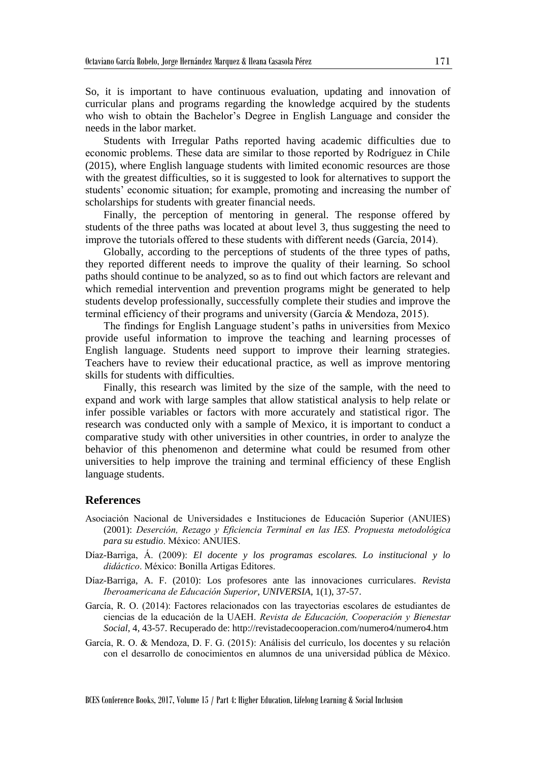So, it is important to have continuous evaluation, updating and innovation of curricular plans and programs regarding the knowledge acquired by the students who wish to obtain the Bachelor's Degree in English Language and consider the needs in the labor market.

Students with Irregular Paths reported having academic difficulties due to economic problems. These data are similar to those reported by Rodríguez in Chile (2015), where English language students with limited economic resources are those with the greatest difficulties, so it is suggested to look for alternatives to support the students' economic situation; for example, promoting and increasing the number of scholarships for students with greater financial needs.

Finally, the perception of mentoring in general. The response offered by students of the three paths was located at about level 3, thus suggesting the need to improve the tutorials offered to these students with different needs (García, 2014).

Globally, according to the perceptions of students of the three types of paths, they reported different needs to improve the quality of their learning. So school paths should continue to be analyzed, so as to find out which factors are relevant and which remedial intervention and prevention programs might be generated to help students develop professionally, successfully complete their studies and improve the terminal efficiency of their programs and university (García & Mendoza, 2015).

The findings for English Language student's paths in universities from Mexico provide useful information to improve the teaching and learning processes of English language. Students need support to improve their learning strategies. Teachers have to review their educational practice, as well as improve mentoring skills for students with difficulties.

Finally, this research was limited by the size of the sample, with the need to expand and work with large samples that allow statistical analysis to help relate or infer possible variables or factors with more accurately and statistical rigor. The research was conducted only with a sample of Mexico, it is important to conduct a comparative study with other universities in other countries, in order to analyze the behavior of this phenomenon and determine what could be resumed from other universities to help improve the training and terminal efficiency of these English language students.

#### **References**

- Asociación Nacional de Universidades e Instituciones de Educación Superior (ANUIES) (2001): *Deserción, Rezago y Eficiencia Terminal en las IES. Propuesta metodológica para su estudio*. México: ANUIES.
- Díaz-Barriga, Á. (2009): *El docente y los programas escolares. Lo institucional y lo didáctico*. México: Bonilla Artigas Editores.
- Díaz-Barriga, A. F. (2010): Los profesores ante las innovaciones curriculares. *Revista Iberoamericana de Educación Superior*, *UNIVERSIA*, 1(1), 37-57.
- García, R. O. (2014): Factores relacionados con las trayectorias escolares de estudiantes de ciencias de la educación de la UAEH. *Revista de Educación, Cooperación y Bienestar Social*, 4, 43-57. Recuperado de: http://revistadecooperacion.com/numero4/numero4.htm
- García, R. O. & Mendoza, D. F. G. (2015): Análisis del currículo, los docentes y su relación con el desarrollo de conocimientos en alumnos de una universidad pública de México.